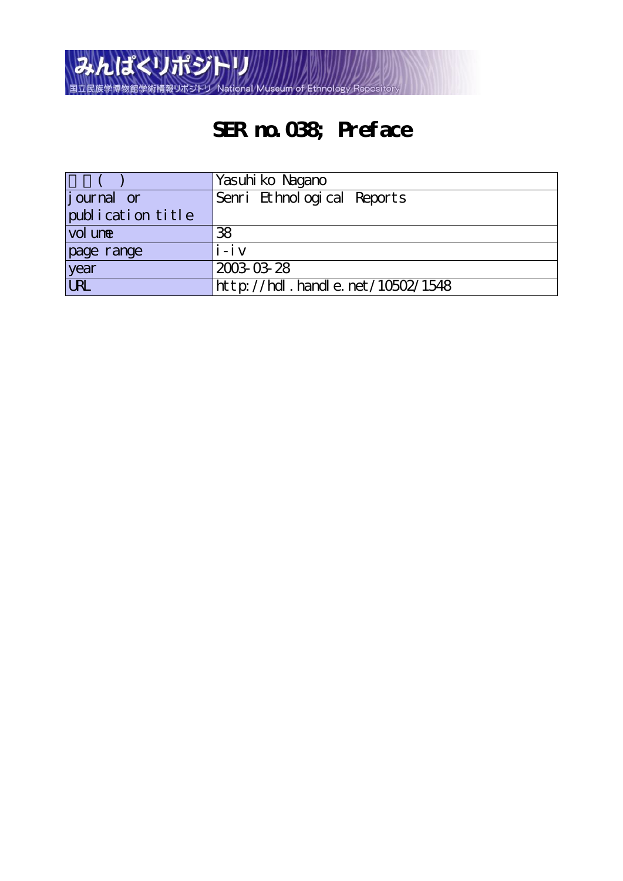

# **SER no.038; Preface**

|                   | Yasuhi ko Nagano                 |
|-------------------|----------------------------------|
| journal or        | Senri Ethnological Reports       |
| publication title |                                  |
| vol une           | 38                               |
| page range        | $i - i$ $v$                      |
| year              | 2003-03-28                       |
| <b>URL</b>        | http://hdl.handle.net/10502/1548 |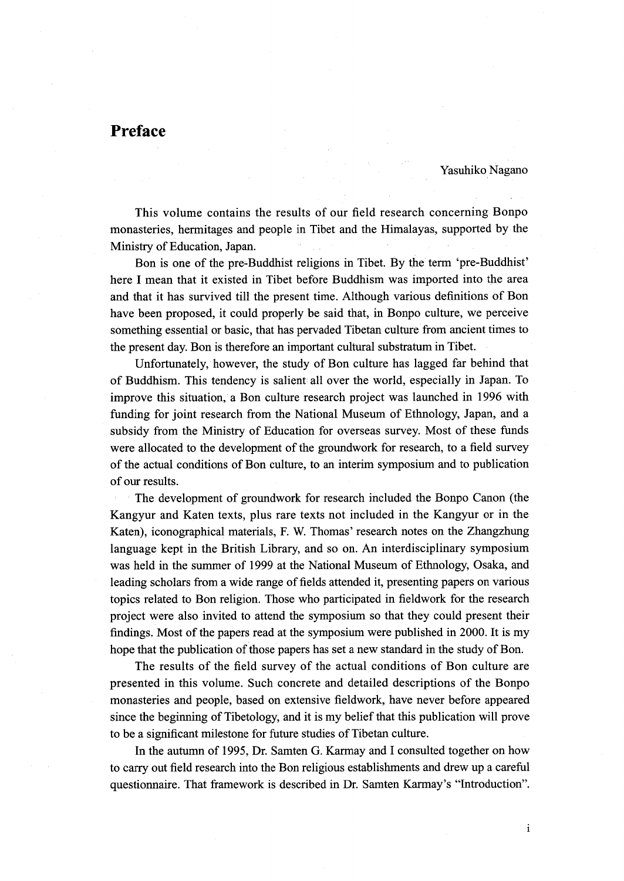# Preface

Yasuhiko Nagano

 This volume contains the results of our field research concerning Bonpo monasteries, herrnitages and people in Tibet and the Himalayas, supported by the Ministry of Education, Japan.

 Bon is one of the pre-Buddhist religions in Tibet. By the'term `pre-Buddhist' here I mean that it existed in Tibet before Buddhism was imported into the area and that it has survived till the present time. Although various definitions of Bon have been proposed, it could properly be said that, in Bonpo culture, we perceive something essential or basic, that has pervaded Tibetan culture from ancient times to the present day. Bon is therefore an important cultural substratum in Tibet.

 Unfortunately, however, the study of Bon culture has lagged far behind that of Buddhism. This tendency is salient all over the world, especially in Japan. To improve this situation, a Bon culture research project was launched in 1996 with funding for joint research from the National Museum of Ethnology, Japan, and a subsidy from the Ministry of Education for overseas survey. Most of these funds were allocated to the development of the groundwork for research, to a field survey of the actual conditions of Bon culture, to an interim symposium and to publication of our results.

The development of groundwork for research included the Bonpo Canon (the Kangyur and Katen texts, plus rare texts not included in the Kangyur or in the Katen), iconographical materials, F. W. Thomas' research notes on the Zhangzhung language kept in the British Library, and so on. An interdisciplinary symposium was held in the summer of 1999 at the National Museum of Ethnology, Osaka, and leading scholars from a wide range of fields attended it, presenting papers on various topics related to Bon religion. Those who participated in fieldwork for the research project were also invited to attend the symposium so that they could present their findings. Most of the papers read at the symposium were published in 2000. It is my hope that the publication of those papers has set a new standard in the study of Bon.

 The results of the field survey of the actual conditions of Bon eulture are presented in this volume. Such concrete and detailed descriptions of the Bonpo monasteries and people, based on extensive fieldwork, have never before appeared since the beginning of Tibetology, and it is my belief that this publication will prove to be a significant milestone for future studies of Tibetan culture.

In the autumn of 1995, Dr. Samten G. Karmay and I consulted together on how to carry out field research into the Bon religious establishments and drew up a carefu1 questionnaire. That framework is described in Dr. Samten Karmay's "Introduction".

i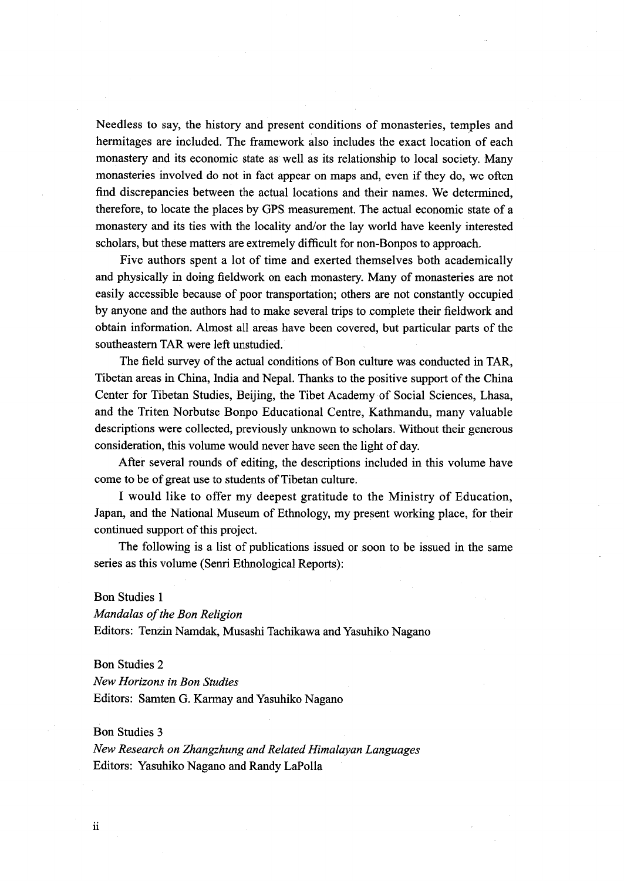Needless to say, the history and present conditions of monasteries, temples and hermitages are included. The framework also includes the exact location of each monastery and its economic state as well as its relationship to local society. Many monasteries involved do not in fact appear on maps and, even if they do, we often find discrepancies between the actual locations and their names. We determined, therefore, to locate the places by GPS measurement. The actual economic state of a monastery and its ties with the locality and/or the lay world have keenly interested scholars, but these matters are extremely difficult for non-Bonpos to approach.

 Five authors spent a lot of time and exerted themselves both academically and physically in doing fieldwork on each monastery. Many of monasteries are not easily accessible because of poor transportation; others are not constantly occupied by anyone and the authors had to make several trips to complete their fieldwork and obtain infbrmation. Almost all areas have been covered, but panicular parts of the southeastern TAR were left unstudied.

The field survey of the actual conditions of Bon culture was conducted in TAR, Tibetan areas in China, India and Nepal. Thanks to the positive support of the China Center for Tibetan Studies, Beijing, the Tibet Academy of Social Sciences, Lhasa, and the Triten Norbutse Bonpo Educational Centre, Kathmandu, many valuable descriptions were collected, previously unknown to scholars. Without their generous consideration, this volume would never have seen the light of day.

 After several rounds of editing, the descriptions included in this volume have come to be of great use to students of Tibetan culture.

 I would like to offer my deepest gratitude to the Ministry of Education, Japan, and the National Museum of Ethnology, my present working place, for their continued support of this project.

The following is a list of publications issued or soon to be issued in the same series as this volume (Senri Ethnological Reports):

# Bon Studies 1

Mandalas of the Bon Religion

Editors: Tenzin Namdak, Musashi Tachikawa and Yasuhiko Nagano

#### Bon Studies 2

New Horizons in Bon Studies Editors: Samten G. Karmay and Yasuhiko Nagano

# Bon Studies 3

New Research on Zhangzhung and Related Himalayan Languages Editors: Yasuhiko Nagano and Randy LaPolla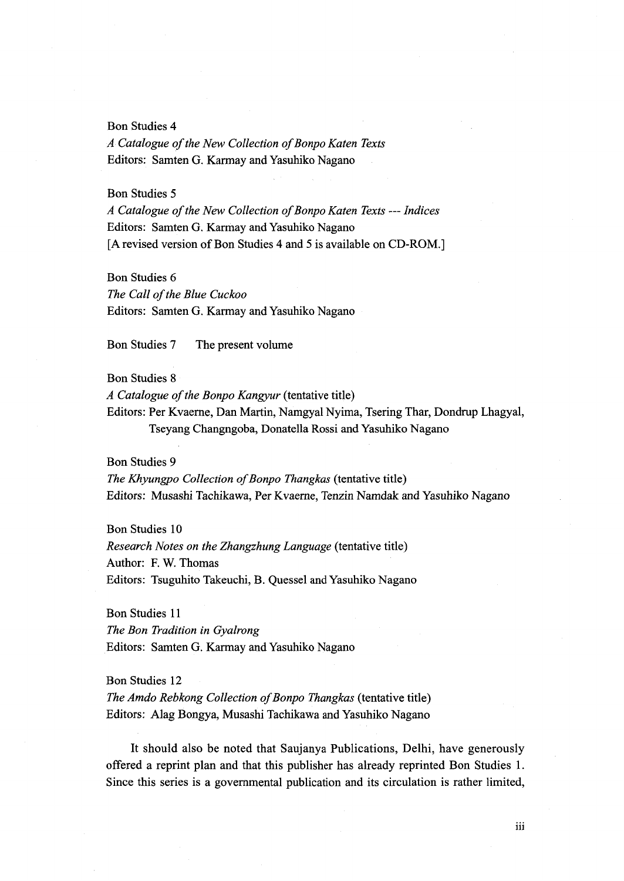#### Bon Studies 4

A Catalogue of the New Collection of Bonpo Katen Texts Editors: Samten G. Karmay and Yasuhiko Nagano

# Bon Studies 5

A Catalogue of the New Collection of Bonpo Katen Texts --- Indices Editors: Samten G. Karmay and Yasuhiko Nagano [A revised version of Bon Studies 4 and 5 is available on CD-ROM.]

# Bon Studies 6

The Call of the Blue Cuckoo Editors: Samten G. Karmay and Yasuhiko Nagano

Bon Studies 7 The present volume

# Bon Studies 8

A Catalogue of the Bonpo Kangyur (tentative title)

Editors: Per Kvaerne, Dan Martin, Namgyal Nyima, Tsering Thar, Dondrup Lhagyal, Tseyang Changngoba, Donatella Rossi and Yasuhiko Nagano

# Bon Studies 9

The Khyungpo Collection of Bonpo Thangkas (tentative title) Editors: Musashi Tachikawa, Per Kvaerne, Tenzin Namdak and Yasuhiko Nagano

Bon Studies 10 Research Notes on the Zhangzhung Language (tentative title) Author: F. W. Thomas Editors: Tsuguhito Takeuchi, B. Quessel and Yasuhiko Nagano

Bon Studies 11 The Bon Tradition in Gyalrong Editors: Samten G. Karmay and Yasuhiko Nagano

Bon Studies 12

The Amdo Rebkong Collection of Bonpo Thangkas (tentative title) Editors: Alag Bongya, Musashi Tachikawa and Yasuhiko Nagano

It should also be noted that Saujanya Publications, Delhi, have generously offered a reprint plan and that this publisher has already reprinted Bon Studies 1. Since this series is a governmental publication and its circulation is rather limited,